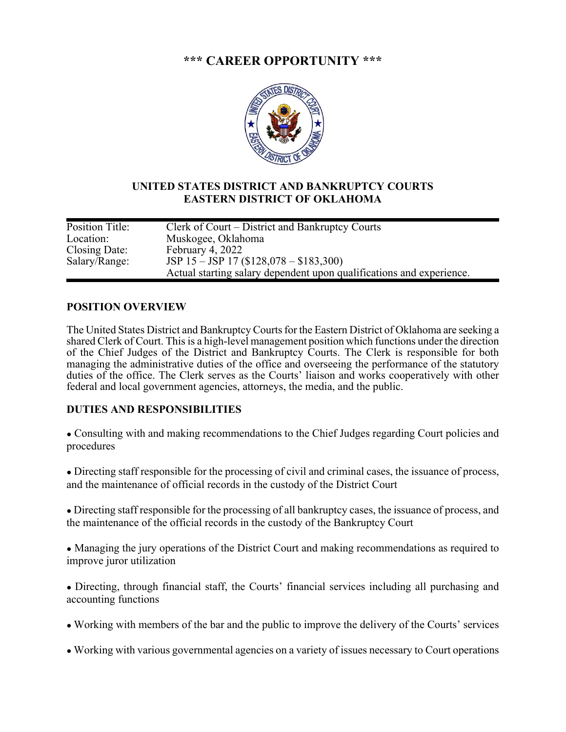# **\*\*\* CAREER OPPORTUNITY \*\*\***



## **UNITED STATES DISTRICT AND BANKRUPTCY COURTS EASTERN DISTRICT OF OKLAHOMA**

| Position Title: | Clerk of Court – District and Bankruptcy Courts                      |
|-----------------|----------------------------------------------------------------------|
| Location:       | Muskogee, Oklahoma                                                   |
| Closing Date:   | February 4, 2022                                                     |
| Salary/Range:   | JSP $15 - JSP$ 17 (\$128,078 - \$183,300)                            |
|                 | Actual starting salary dependent upon qualifications and experience. |
|                 |                                                                      |

#### **POSITION OVERVIEW**

The United States District and Bankruptcy Courts for the Eastern District of Oklahoma are seeking a shared Clerk of Court. This is a high-level management position which functions under the direction of the Chief Judges of the District and Bankruptcy Courts. The Clerk is responsible for both managing the administrative duties of the office and overseeing the performance of the statutory duties of the office. The Clerk serves as the Courts' liaison and works cooperatively with other federal and local government agencies, attorneys, the media, and the public.

## **DUTIES AND RESPONSIBILITIES**

- Consulting with and making recommendations to the Chief Judges regarding Court policies and procedures
- Directing staff responsible for the processing of civil and criminal cases, the issuance of process, and the maintenance of official records in the custody of the District Court
- Directing staff responsible for the processing of all bankruptcy cases, the issuance of process, and the maintenance of the official records in the custody of the Bankruptcy Court
- Managing the jury operations of the District Court and making recommendations as required to improve juror utilization
- Directing, through financial staff, the Courts' financial services including all purchasing and accounting functions
- Working with members of the bar and the public to improve the delivery of the Courts' services
- Working with various governmental agencies on a variety of issues necessary to Court operations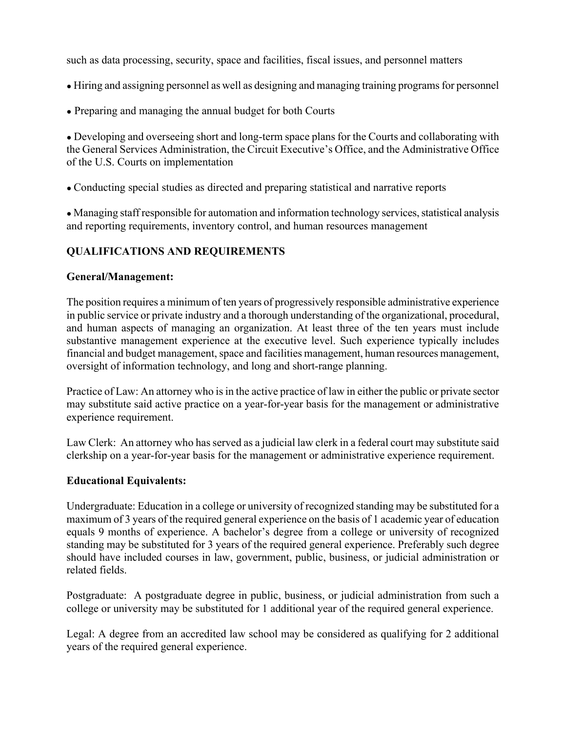such as data processing, security, space and facilities, fiscal issues, and personnel matters

- Hiring and assigning personnel as well as designing and managing training programs for personnel
- Preparing and managing the annual budget for both Courts

• Developing and overseeing short and long-term space plans for the Courts and collaborating with the General Services Administration, the Circuit Executive's Office, and the Administrative Office of the U.S. Courts on implementation

● Conducting special studies as directed and preparing statistical and narrative reports

● Managing staff responsible for automation and information technology services, statistical analysis and reporting requirements, inventory control, and human resources management

## **QUALIFICATIONS AND REQUIREMENTS**

## **General/Management:**

The position requires a minimum of ten years of progressively responsible administrative experience in public service or private industry and a thorough understanding of the organizational, procedural, and human aspects of managing an organization. At least three of the ten years must include substantive management experience at the executive level. Such experience typically includes financial and budget management, space and facilities management, human resources management, oversight of information technology, and long and short-range planning.

Practice of Law: An attorney who is in the active practice of law in either the public or private sector may substitute said active practice on a year-for-year basis for the management or administrative experience requirement.

Law Clerk: An attorney who has served as a judicial law clerk in a federal court may substitute said clerkship on a year-for-year basis for the management or administrative experience requirement.

#### **Educational Equivalents:**

Undergraduate: Education in a college or university of recognized standing may be substituted for a maximum of 3 years of the required general experience on the basis of 1 academic year of education equals 9 months of experience. A bachelor's degree from a college or university of recognized standing may be substituted for 3 years of the required general experience. Preferably such degree should have included courses in law, government, public, business, or judicial administration or related fields.

Postgraduate: A postgraduate degree in public, business, or judicial administration from such a college or university may be substituted for 1 additional year of the required general experience.

Legal: A degree from an accredited law school may be considered as qualifying for 2 additional years of the required general experience.